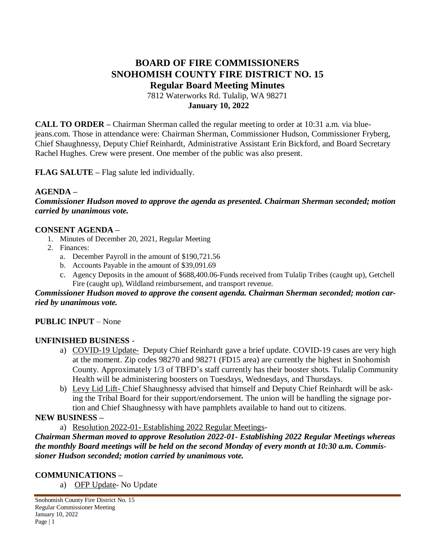# **BOARD OF FIRE COMMISSIONERS SNOHOMISH COUNTY FIRE DISTRICT NO. 15 Regular Board Meeting Minutes** 7812 Waterworks Rd. Tulalip, WA 98271

**January 10, 2022**

**CALL TO ORDER –** Chairman Sherman called the regular meeting to order at 10:31 a.m. via bluejeans.com. Those in attendance were: Chairman Sherman, Commissioner Hudson, Commissioner Fryberg, Chief Shaughnessy, Deputy Chief Reinhardt, Administrative Assistant Erin Bickford, and Board Secretary Rachel Hughes. Crew were present. One member of the public was also present.

**FLAG SALUTE –** Flag salute led individually.

### **AGENDA –**

*Commissioner Hudson moved to approve the agenda as presented. Chairman Sherman seconded; motion carried by unanimous vote.*

### **CONSENT AGENDA –**

- 1. Minutes of December 20, 2021, Regular Meeting
- 2. Finances:
	- a. December Payroll in the amount of \$190,721.56
	- b. Accounts Payable in the amount of \$39,091.69
	- c. Agency Deposits in the amount of \$688,400.06-Funds received from Tulalip Tribes (caught up), Getchell Fire (caught up), Wildland reimbursement, and transport revenue.

#### *Commissioner Hudson moved to approve the consent agenda. Chairman Sherman seconded; motion carried by unanimous vote.*

### **PUBLIC INPUT** – None

#### **UNFINISHED BUSINESS** -

- a) COVID-19 Update- Deputy Chief Reinhardt gave a brief update. COVID-19 cases are very high at the moment. Zip codes 98270 and 98271 (FD15 area) are currently the highest in Snohomish County. Approximately 1/3 of TBFD's staff currently has their booster shots. Tulalip Community Health will be administering boosters on Tuesdays, Wednesdays, and Thursdays.
- b) Levy Lid Lift- Chief Shaughnessy advised that himself and Deputy Chief Reinhardt will be asking the Tribal Board for their support/endorsement. The union will be handling the signage portion and Chief Shaughnessy with have pamphlets available to hand out to citizens.

#### **NEW BUSINESS –**

a) Resolution 2022-01- Establishing 2022 Regular Meetings-

*Chairman Sherman moved to approve Resolution 2022-01- Establishing 2022 Regular Meetings whereas the monthly Board meetings will be held on the second Monday of every month at 10:30 a.m. Commissioner Hudson seconded; motion carried by unanimous vote.*

#### **COMMUNICATIONS –**

a) OFP Update- No Update